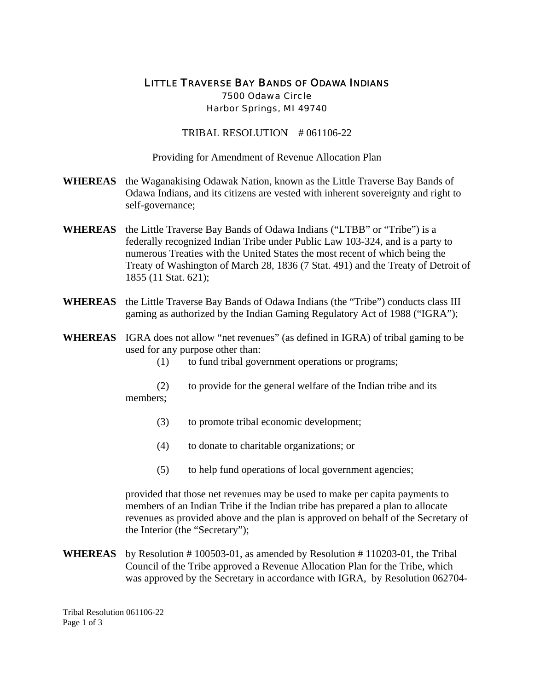## LITTLE TRAVERSE BAY BANDS OF ODAWA INDIANS 7500 Odawa Circle Harbor Springs, MI 49740

TRIBAL RESOLUTION # 061106-22

Providing for Amendment of Revenue Allocation Plan

- **WHEREAS** the Waganakising Odawak Nation, known as the Little Traverse Bay Bands of Odawa Indians, and its citizens are vested with inherent sovereignty and right to self-governance;
- **WHEREAS** the Little Traverse Bay Bands of Odawa Indians ("LTBB" or "Tribe") is a federally recognized Indian Tribe under Public Law 103-324, and is a party to numerous Treaties with the United States the most recent of which being the Treaty of Washington of March 28, 1836 (7 Stat. 491) and the Treaty of Detroit of 1855 (11 Stat. 621);
- **WHEREAS** the Little Traverse Bay Bands of Odawa Indians (the "Tribe") conducts class III gaming as authorized by the Indian Gaming Regulatory Act of 1988 ("IGRA");
- **WHEREAS** IGRA does not allow "net revenues" (as defined in IGRA) of tribal gaming to be used for any purpose other than:

(1) to fund tribal government operations or programs;

- (2) to provide for the general welfare of the Indian tribe and its members;
	- (3) to promote tribal economic development;
	- (4) to donate to charitable organizations; or
	- (5) to help fund operations of local government agencies;

provided that those net revenues may be used to make per capita payments to members of an Indian Tribe if the Indian tribe has prepared a plan to allocate revenues as provided above and the plan is approved on behalf of the Secretary of the Interior (the "Secretary");

**WHEREAS** by Resolution # 100503-01, as amended by Resolution # 110203-01, the Tribal Council of the Tribe approved a Revenue Allocation Plan for the Tribe, which was approved by the Secretary in accordance with IGRA, by Resolution 062704-

Tribal Resolution 061106-22 Page 1 of 3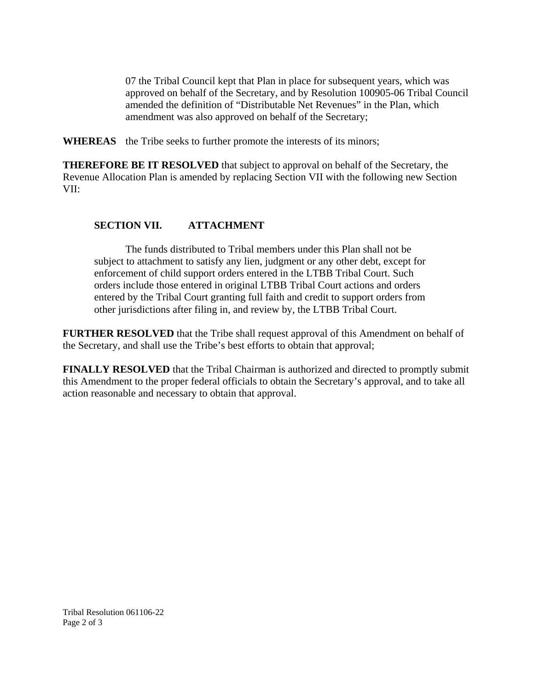07 the Tribal Council kept that Plan in place for subsequent years, which was approved on behalf of the Secretary, and by Resolution 100905-06 Tribal Council amended the definition of "Distributable Net Revenues" in the Plan, which amendment was also approved on behalf of the Secretary;

**WHEREAS** the Tribe seeks to further promote the interests of its minors;

**THEREFORE BE IT RESOLVED** that subject to approval on behalf of the Secretary, the Revenue Allocation Plan is amended by replacing Section VII with the following new Section VII:

## **SECTION VII. ATTACHMENT**

The funds distributed to Tribal members under this Plan shall not be subject to attachment to satisfy any lien, judgment or any other debt, except for enforcement of child support orders entered in the LTBB Tribal Court. Such orders include those entered in original LTBB Tribal Court actions and orders entered by the Tribal Court granting full faith and credit to support orders from other jurisdictions after filing in, and review by, the LTBB Tribal Court.

**FURTHER RESOLVED** that the Tribe shall request approval of this Amendment on behalf of the Secretary, and shall use the Tribe's best efforts to obtain that approval;

**FINALLY RESOLVED** that the Tribal Chairman is authorized and directed to promptly submit this Amendment to the proper federal officials to obtain the Secretary's approval, and to take all action reasonable and necessary to obtain that approval.